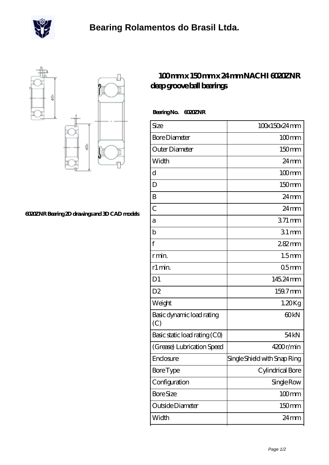



## **[6020ZNR Bearing 2D drawings and 3D CAD models](https://m.scottrobertalexander.com/pic-539389.html)**

## **[100 mm x 150 mm x 24 mm NACHI 6020ZNR](https://m.scottrobertalexander.com/nachi-6020znr-bearing/) [deep groove ball bearings](https://m.scottrobertalexander.com/nachi-6020znr-bearing/)**

| Bearing No. 6020ZNR |
|---------------------|
|                     |

| Size                             | 100x150x24mm                 |
|----------------------------------|------------------------------|
| <b>Bore Diameter</b>             | $100$ mm                     |
| Outer Diameter                   | 150 <sub>mm</sub>            |
| Width                            | $24 \,\mathrm{mm}$           |
| d                                | $100$ mm                     |
| D                                | 150mm                        |
| B                                | $24 \,\mathrm{mm}$           |
| $\overline{C}$                   | $24 \,\mathrm{mm}$           |
| а                                | $371 \,\mathrm{mm}$          |
| b                                | $31$ mm                      |
| $\mathbf f$                      | 282mm                        |
| r min.                           | 1.5 <sub>mm</sub>            |
| r1 min.                          | 05 <sub>mm</sub>             |
| D <sub>1</sub>                   | 145.24 mm                    |
| D <sub>2</sub>                   | 159.7mm                      |
| Weight                           | 1.20Kg                       |
| Basic dynamic load rating<br>(C) | 60 <sub>kN</sub>             |
| Basic static load rating (CO)    | 54 <sub>kN</sub>             |
| (Grease) Lubrication Speed       | 4200r/min                    |
| Enclosure                        | Single Shield with Snap Ring |
| <b>Bore</b> Type                 | Cylindrical Bore             |
| Configuration                    | Single Row                   |
| <b>Bore Size</b>                 | $100$ mm                     |
| Outside Diameter                 | 150mm                        |
| Width                            | $24 \text{mm}$               |